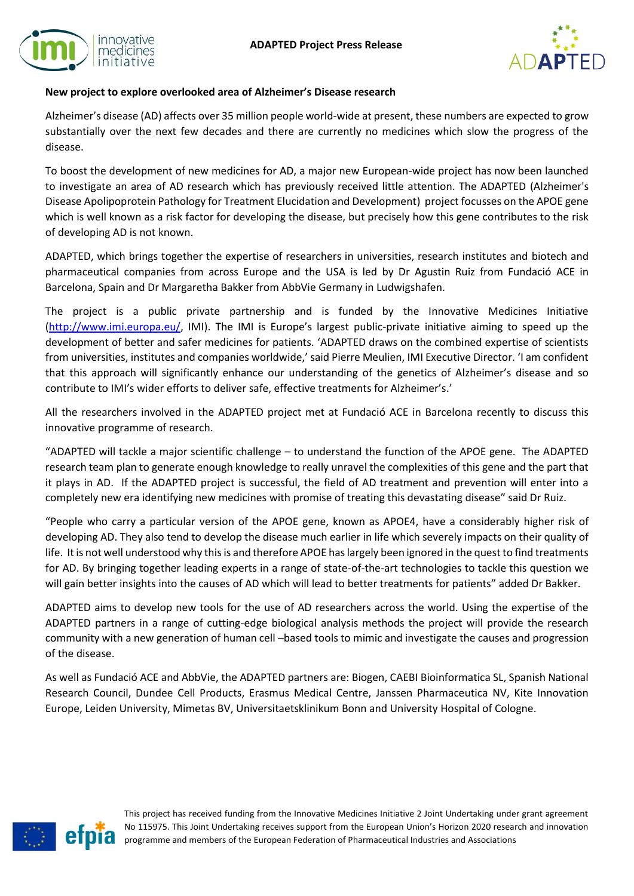



# **New project to explore overlooked area of Alzheimer's Disease research**

Alzheimer's disease (AD) affects over 35 million people world-wide at present, these numbers are expected to grow substantially over the next few decades and there are currently no medicines which slow the progress of the disease.

To boost the development of new medicines for AD, a major new European-wide project has now been launched to investigate an area of AD research which has previously received little attention. The ADAPTED (Alzheimer's Disease Apolipoprotein Pathology for Treatment Elucidation and Development) project focusses on the APOE gene which is well known as a risk factor for developing the disease, but precisely how this gene contributes to the risk of developing AD is not known.

ADAPTED, which brings together the expertise of researchers in universities, research institutes and biotech and pharmaceutical companies from across Europe and the USA is led by Dr Agustin Ruiz from Fundació ACE in Barcelona, Spain and Dr Margaretha Bakker from AbbVie Germany in Ludwigshafen.

The project is a public private partnership and is funded by the Innovative Medicines Initiative [\(http://www.imi.europa.eu/,](http://www.imi.europa.eu/) IMI). The IMI is Europe's largest public-private initiative aiming to speed up the development of better and safer medicines for patients. 'ADAPTED draws on the combined expertise of scientists from universities, institutes and companies worldwide,' said Pierre Meulien, IMI Executive Director. 'I am confident that this approach will significantly enhance our understanding of the genetics of Alzheimer's disease and so contribute to IMI's wider efforts to deliver safe, effective treatments for Alzheimer's.'

All the researchers involved in the ADAPTED project met at Fundació ACE in Barcelona recently to discuss this innovative programme of research.

"ADAPTED will tackle a major scientific challenge – to understand the function of the APOE gene. The ADAPTED research team plan to generate enough knowledge to really unravel the complexities of this gene and the part that it plays in AD. If the ADAPTED project is successful, the field of AD treatment and prevention will enter into a completely new era identifying new medicines with promise of treating this devastating disease" said Dr Ruiz.

"People who carry a particular version of the APOE gene, known as APOE4, have a considerably higher risk of developing AD. They also tend to develop the disease much earlier in life which severely impacts on their quality of life. It is not well understood why this is and therefore APOE has largely been ignored in the quest to find treatments for AD. By bringing together leading experts in a range of state-of-the-art technologies to tackle this question we will gain better insights into the causes of AD which will lead to better treatments for patients" added Dr Bakker.

ADAPTED aims to develop new tools for the use of AD researchers across the world. Using the expertise of the ADAPTED partners in a range of cutting-edge biological analysis methods the project will provide the research community with a new generation of human cell –based tools to mimic and investigate the causes and progression of the disease.

As well as Fundació ACE and AbbVie, the ADAPTED partners are: Biogen, CAEBI Bioinformatica SL, Spanish National Research Council, Dundee Cell Products, Erasmus Medical Centre, Janssen Pharmaceutica NV, Kite Innovation Europe, Leiden University, Mimetas BV, Universitaetsklinikum Bonn and University Hospital of Cologne.



This project has received funding from the Innovative Medicines Initiative 2 Joint Undertaking under grant agreement No 115975. This Joint Undertaking receives support from the European Union's Horizon 2020 research and innovation programme and members of the European Federation of Pharmaceutical Industries and Associations